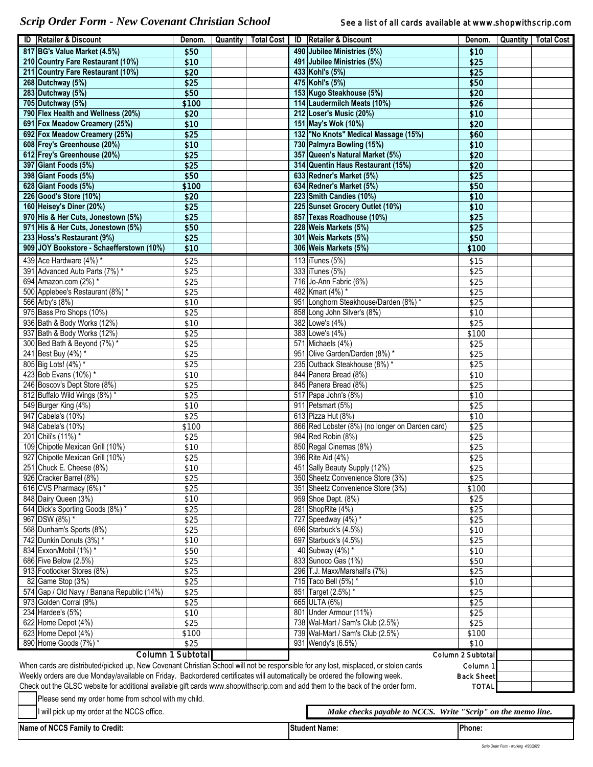*Scrip Order Form - New Covenant Christian School* See a list of all cards available at www.shopwithscrip.com

|                                                                                                                                           | <b>ID</b> Retailer & Discount                                                                                                                     | Denom.            |  |  |  | Quantity   Total Cost   ID   Retailer & Discount             | Denom.            |  | Quantity   Total Cost |
|-------------------------------------------------------------------------------------------------------------------------------------------|---------------------------------------------------------------------------------------------------------------------------------------------------|-------------------|--|--|--|--------------------------------------------------------------|-------------------|--|-----------------------|
|                                                                                                                                           | 817 BG's Value Market (4.5%)                                                                                                                      | \$50              |  |  |  | 490 Jubilee Ministries (5%)                                  | \$10              |  |                       |
|                                                                                                                                           | 210 Country Fare Restaurant (10%)                                                                                                                 | \$10              |  |  |  | 491 Jubilee Ministries (5%)                                  | \$25              |  |                       |
|                                                                                                                                           | 211 Country Fare Restaurant (10%)                                                                                                                 | \$20              |  |  |  | 433 Kohl's (5%)                                              | \$25              |  |                       |
|                                                                                                                                           | 268 Dutchway (5%)                                                                                                                                 | \$25              |  |  |  | 475 Kohl's (5%)                                              | \$50              |  |                       |
|                                                                                                                                           | 283 Dutchway (5%)                                                                                                                                 | \$50              |  |  |  | 153 Kugo Steakhouse (5%)                                     | \$20              |  |                       |
|                                                                                                                                           | 705 Dutchway (5%)                                                                                                                                 | \$100             |  |  |  | 114 Laudermilch Meats (10%)                                  | \$26              |  |                       |
|                                                                                                                                           | 790 Flex Health and Wellness (20%)                                                                                                                | \$20              |  |  |  | 212 Loser's Music (20%)                                      | \$10              |  |                       |
|                                                                                                                                           | 691 Fox Meadow Creamery (25%)                                                                                                                     | \$10              |  |  |  | 151 May's Wok (10%)                                          | \$20              |  |                       |
|                                                                                                                                           | 692 Fox Meadow Creamery (25%)                                                                                                                     | \$25              |  |  |  | 132 "No Knots" Medical Massage (15%)                         | \$60              |  |                       |
|                                                                                                                                           | 608 Frey's Greenhouse (20%)                                                                                                                       | \$10              |  |  |  | 730 Palmyra Bowling (15%)                                    | \$10              |  |                       |
|                                                                                                                                           | 612 Frey's Greenhouse (20%)                                                                                                                       | \$25              |  |  |  | 357 Queen's Natural Market (5%)                              | \$20              |  |                       |
|                                                                                                                                           | 397 Giant Foods (5%)                                                                                                                              | \$25<br>\$50      |  |  |  | 314 Quentin Haus Restaurant (15%)                            | \$20              |  |                       |
|                                                                                                                                           | 398 Giant Foods (5%)<br>628 Giant Foods (5%)                                                                                                      | \$100             |  |  |  | 633 Redner's Market (5%)<br>634 Redner's Market (5%)         | \$25<br>\$50      |  |                       |
|                                                                                                                                           | 226 Good's Store (10%)                                                                                                                            | \$20              |  |  |  | 223 Smith Candies (10%)                                      | \$10              |  |                       |
|                                                                                                                                           | 160 Heisey's Diner (20%)                                                                                                                          | \$25              |  |  |  | 225 Sunset Grocery Outlet (10%)                              | \$10              |  |                       |
|                                                                                                                                           | 970 His & Her Cuts, Jonestown (5%)                                                                                                                | \$25              |  |  |  | 857 Texas Roadhouse (10%)                                    | \$25              |  |                       |
|                                                                                                                                           | 971 His & Her Cuts, Jonestown (5%)                                                                                                                | \$50              |  |  |  | 228 Weis Markets (5%)                                        | \$25              |  |                       |
|                                                                                                                                           | 233 Hoss's Restaurant (9%)                                                                                                                        | \$25              |  |  |  | 301 Weis Markets (5%)                                        | \$50              |  |                       |
|                                                                                                                                           | 909 JOY Bookstore - Schaefferstown (10%)                                                                                                          | \$10              |  |  |  | 306 Weis Markets (5%)                                        | \$100             |  |                       |
|                                                                                                                                           | 439 Ace Hardware (4%) *                                                                                                                           | \$25              |  |  |  | 113 Tunes (5%)                                               | \$15              |  |                       |
|                                                                                                                                           | 391 Advanced Auto Parts (7%) *                                                                                                                    | \$25              |  |  |  | 333 Tunes (5%)                                               | \$25              |  |                       |
|                                                                                                                                           | 694 Amazon.com (2%) *                                                                                                                             | \$25              |  |  |  | 716 Jo-Ann Fabric (6%)                                       | \$25              |  |                       |
|                                                                                                                                           | 500 Applebee's Restaurant (8%) *                                                                                                                  | \$25              |  |  |  | 482 Kmart (4%) *                                             | \$25              |  |                       |
|                                                                                                                                           | 566 Arby's (8%)                                                                                                                                   | \$10              |  |  |  | 951 Longhorn Steakhouse/Darden (8%) *                        | \$25              |  |                       |
|                                                                                                                                           | 975 Bass Pro Shops (10%)                                                                                                                          | \$25              |  |  |  | 858 Long John Silver's (8%)                                  | \$10              |  |                       |
|                                                                                                                                           | 936 Bath & Body Works (12%)                                                                                                                       | \$10              |  |  |  | 382 Lowe's (4%)                                              | \$25              |  |                       |
|                                                                                                                                           | 937 Bath & Body Works (12%)                                                                                                                       | \$25              |  |  |  | 383 Lowe's (4%)                                              | \$100             |  |                       |
|                                                                                                                                           | 300 Bed Bath & Beyond (7%) *                                                                                                                      | \$25              |  |  |  | 571 Michaels (4%)                                            | \$25              |  |                       |
|                                                                                                                                           | 241 Best Buy (4%) *                                                                                                                               | \$25              |  |  |  | 951 Olive Garden/Darden (8%) *                               | \$25              |  |                       |
|                                                                                                                                           | 805 Big Lots! (4%) *                                                                                                                              | \$25              |  |  |  | 235 Outback Steakhouse (8%) *                                | \$25              |  |                       |
|                                                                                                                                           | 423 Bob Evans (10%) *                                                                                                                             | \$10              |  |  |  | 844 Panera Bread (8%)                                        | \$10              |  |                       |
|                                                                                                                                           | 246 Boscov's Dept Store (8%)                                                                                                                      | \$25              |  |  |  | 845 Panera Bread (8%)                                        | \$25              |  |                       |
|                                                                                                                                           | 812 Buffalo Wild Wings (8%) *                                                                                                                     | \$25              |  |  |  | 517 Papa John's (8%)                                         | \$10              |  |                       |
|                                                                                                                                           | 549 Burger King (4%)                                                                                                                              | \$10              |  |  |  | 911 Petsmart (5%)                                            | \$25              |  |                       |
|                                                                                                                                           | 947 Cabela's (10%)                                                                                                                                | \$25              |  |  |  | 613 Pizza Hut (8%)                                           | \$10              |  |                       |
|                                                                                                                                           | 948 Cabela's (10%)                                                                                                                                | \$100             |  |  |  | 866 Red Lobster (8%) (no longer on Darden card)              | \$25              |  |                       |
|                                                                                                                                           | 201 Chili's (11%)*                                                                                                                                | \$25              |  |  |  | 984 Red Robin (8%)                                           | \$25              |  |                       |
|                                                                                                                                           | 109 Chipotle Mexican Grill (10%)                                                                                                                  | \$10              |  |  |  | 850 Regal Cinemas (8%)                                       | \$25              |  |                       |
|                                                                                                                                           | 927 Chipotle Mexican Grill (10%)                                                                                                                  | \$25              |  |  |  | 396 Rite Aid (4%)                                            | \$25              |  |                       |
|                                                                                                                                           | 251 Chuck E. Cheese (8%)                                                                                                                          | \$10              |  |  |  | 451 Sally Beauty Supply (12%)                                | \$25              |  |                       |
|                                                                                                                                           | 926 Cracker Barrel (8%)                                                                                                                           | \$25              |  |  |  | 350 Sheetz Convenience Store (3%)                            | \$25              |  |                       |
|                                                                                                                                           | 616 CVS Pharmacy $(6%)$ *                                                                                                                         | \$25              |  |  |  | 351 Sheetz Convenience Store (3%)                            | \$100             |  |                       |
|                                                                                                                                           | 848 Dairy Queen (3%)                                                                                                                              | \$10              |  |  |  | 959 Shoe Dept. (8%)                                          | \$25              |  |                       |
|                                                                                                                                           | 644 Dick's Sporting Goods (8%) *<br>967 DSW (8%) *                                                                                                | \$25              |  |  |  | 281 ShopRite (4%)                                            | \$25              |  |                       |
|                                                                                                                                           | 568 Dunham's Sports (8%)                                                                                                                          | \$25              |  |  |  | 727 Speedway $(4%)$ *<br>696 Starbuck's (4.5%)               | \$25              |  |                       |
|                                                                                                                                           | 742 Dunkin Donuts (3%) *                                                                                                                          | \$25<br>\$10      |  |  |  | 697 Starbuck's (4.5%)                                        | \$10<br>\$25      |  |                       |
|                                                                                                                                           | 834 Exxon/Mobil (1%) *                                                                                                                            | \$50              |  |  |  | 40 Subway (4%) *                                             | \$10              |  |                       |
|                                                                                                                                           | 686 Five Below (2.5%)                                                                                                                             | \$25              |  |  |  | 833 Sunoco Gas (1%)                                          | \$50              |  |                       |
|                                                                                                                                           | 913 Footlocker Stores (8%)                                                                                                                        | \$25              |  |  |  | 296 T.J. Maxx/Marshall's (7%)                                | \$25              |  |                       |
|                                                                                                                                           | 82 Game Stop (3%)                                                                                                                                 | \$25              |  |  |  | 715 Taco Bell (5%) *                                         | \$10              |  |                       |
|                                                                                                                                           | 574 Gap / Old Navy / Banana Republic (14%)                                                                                                        | \$25              |  |  |  | 851 Target (2.5%) *                                          | \$25              |  |                       |
|                                                                                                                                           | 973 Golden Corral (9%)                                                                                                                            | \$25              |  |  |  | 665 ULTA (6%)                                                | \$25              |  |                       |
|                                                                                                                                           | 234 Hardee's (5%)                                                                                                                                 | \$10              |  |  |  | 801 Under Armour (11%)                                       | \$25              |  |                       |
|                                                                                                                                           | 622 Home Depot (4%)                                                                                                                               | \$25              |  |  |  | 738 Wal-Mart / Sam's Club (2.5%)                             | \$25              |  |                       |
|                                                                                                                                           | 623 Home Depot (4%)                                                                                                                               | \$100             |  |  |  | 739 Wal-Mart / Sam's Club (2.5%)                             | \$100             |  |                       |
|                                                                                                                                           | 890 Home Goods (7%) *                                                                                                                             | \$25              |  |  |  | 931 Wendy's (6.5%)                                           | \$10              |  |                       |
|                                                                                                                                           |                                                                                                                                                   | Column 1 Subtotal |  |  |  |                                                              | Column 2 Subtotal |  |                       |
|                                                                                                                                           | When cards are distributed/picked up, New Covenant Christian School will not be responsible for any lost, misplaced, or stolen cards<br>Column 1  |                   |  |  |  |                                                              |                   |  |                       |
|                                                                                                                                           | Weekly orders are due Monday/available on Friday. Backordered certificates will automatically be ordered the following week.<br><b>Back Sheet</b> |                   |  |  |  |                                                              |                   |  |                       |
| Check out the GLSC website for additional available gift cards www.shopwithscrip.com and add them to the back of the order form.<br>TOTAL |                                                                                                                                                   |                   |  |  |  |                                                              |                   |  |                       |
|                                                                                                                                           | Please send my order home from school with my child.                                                                                              |                   |  |  |  |                                                              |                   |  |                       |
|                                                                                                                                           |                                                                                                                                                   |                   |  |  |  |                                                              |                   |  |                       |
|                                                                                                                                           | I will pick up my order at the NCCS office.                                                                                                       |                   |  |  |  | Make checks payable to NCCS. Write "Scrip" on the memo line. |                   |  |                       |

**Name: Phone: Phone: Phone: Phone: Phone: Phone: Phone: Phone: Phone: Phone: Phone: Phone: Phone: Phone: Phone: Phone: Phone: Phone: Phone: Phone: Phone: Phone: Phone: Phone:**